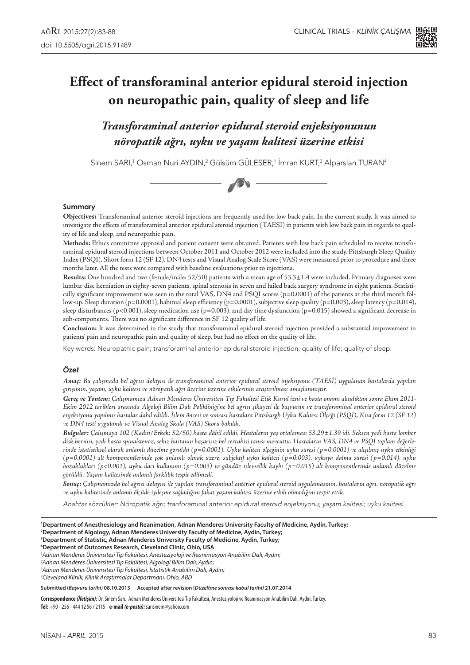

# **Effect of transforaminal anterior epidural steroid injection on neuropathic pain, quality of sleep and life**

*Transforaminal anterior epidural steroid enjeksiyonunun nöropatik ağrı, uyku ve yaşam kalitesi üzerine etkisi*

Sinem SARI,<sup>1</sup> Osman Nuri AYDIN,<sup>2</sup> Gülsüm GULESER,<sup>1</sup> Imran KURT,<sup>3</sup> Alparslan TURAN<sup>4</sup>



#### **Summary**

**Objectives:** Transforaminal anterior steroid injections are frequently used for low back pain. In the current study, It was aimed to investigate the effects of transforaminal anterior epidural steroid injection (TAESI) in patients with low back pain in regards to quality of life and sleep, and neuropathic pain.

**Methods:** Ethics committee approval and patient consent were obtained. Patients with low back pain scheduled to receive transforaminal epidural steroid injections between October 2011 and October 2012 were included into the study. Pittsburgh Sleep Quality Index (PSQI), Short form 12 (SF 12), DN4 tests and Visual Analog Scale Score (VAS) were measured prior to procedure and three months later. All the tests were compared with baseline evaluations prior to injections.

**Results:** One hundred and two (female/male: 52/50) patients with a mean age of 53.3±1.4 were included. Primary diagnoses were lumbar disc herniation in eighty-seven patients, spinal stenosis in seven and failed back surgery syndrome in eight patients. Statistically significant improvement was seen in the total VAS, DN4 and PSQI scores (p=0.0001) of the patients at the third month follow-up. Sleep duration (p=0.0001), habitual sleep efficiency (p=0.0001), subjective sleep quality (p=0.003), sleep latency (p=0.014), sleep disturbances (p<0.001), sleep medication use (p=0.003), and day time dysfunction (p=0.015) showed a significant decrease in sub-components. There was no significant difference in SF 12 quality of life.

**Conclusion:** It was determined in the study that transforaminal epidural steroid injection provided a substantial improvement in patients' pain and neuropathic pain and quality of sleep, but had no effect on the quality of life.

Key words: Neuropathic pain; transforaminal anterior epidural steroid injection; quality of life; quality of sleep.

#### *Özet*

*Amaç: Bu çalışmada bel ağrısı dolayısı ile transforaminal anterior epidural steroid injeksiyonu (TAESİ) uygulanan hastalarda yapılan girişimin, yaşam, uyku kalitesi ve nöropatik ağrı üzerine üzerine etkilerinin araştırılması amaçlanmıştır.*

*Gereç ve Yöntem: Çalışmamıza Adnan Menderes Üniversitesi Tıp Fakültesi Etik Kurul izni ve hasta onamı alındıktan sonra Ekim 2011- Ekim 2012 tarihleri arasında Algoloji Bilim Dalı Polikliniği'ne bel ağrısı şikayeti ile başvuran ve transforaminal anterior epidural steroid enjeksiyonu yapılmış hastalar dahil edildi. İşlem öncesi ve sonrası hastalara Pittsburgh Uyku Kalitesi Ölçeği (PSQI), Kısa form 12 (SF 12) ve DN4 testi uygulandı ve Visual Analog Skala (VAS) Skoru bakıldı.*

*Bulgular: Çalışmaya 102 (Kadın/Erkek: 52/50) hasta dâhil edildi. Hastaların yaş ortalaması 53.29±1.39 idi. Seksen yedi hasta lomber disk hernisi, yedi hasta spinalstenoz, sekiz hastanın başarısız bel cerrahisi tanısı mevcuttu. Hastaların VAS, DN4 ve PSQI toplam değerlerinde istatistiksel olarak anlamlı düzelme görüldü (p=0.0001). Uyku kalitesi ölçeğinin uyku süresi (p=0.0001) ve alışılmış uyku etkinliği (p=0.0001) alt komponentlerinde çok anlamlı olmak üzere, subjektif uyku kalitesi (p=0.003), uykuya dalma süresi (p=0.014), uyku bozuklukları (p<0.001), uyku ilacı kullanımı (p=0.003) ve gündüz işlevsellik kaybı (p=0.015) alt komponentlerinde anlamlı düzelme görüldü. Yaşam kalitesinde anlamlı farklılık tespit edilmedi.*

*Sonuç: Çalışmamızda bel ağrısı dolayısı ile yapılan transforaminal anterior epidural steroid uygulamasının, hastaların ağrı, nöropatik ağrı ve uyku kalitesinde anlamlı ölçüde iyileşme sağladığını fakat yaşam kalitesi üzerine etkili olmadığını tespit ettik.*

Anahtar sözcükler: Nöropatik ağrı; tranforaminal anterior epidural steroid enjeksiyonu; yaşam kalitesi; uyku kalitesi.

 **Department of Anesthesiology and Reanimation, Adnan Menderes University Faculty of Medicine, Aydin, Turkey; Department of Algology, Adnan Menderes University Faculty of Medicine, Aydin, Turkey; Department of Statistic, Adnan Menderes University Faculty of Medicine, Aydin, Turkey; Department of Outcomes Research, Cleveland Clinic, Ohio, USA**

*1 Adnan Menderes Üniversitesi Tıp Fakültesi, Anesteziyoloji ve Reanimasyon Anabilim Dalı, Aydın;*

*2 Adnan Menderes Üniversitesi Tıp Fakültesi, Algologi Bilim Dalı, Aydın;*

*3 Adnan Menderes Üniversitesi Tıp Fakültesi, İstatistik Anabilim Dalı, Aydın;*

*4 Cleveland Klinik, Klinik Araştırmalar Departmanı, Ohio, ABD*

**Submitted (***Başvuru tarihi)* **08.10.2013 Accepted after revision (***Düzeltme sonrası kabul tarihi)* **21.07.2014** 

**Correspondence** *(İletişim):* Dr. Sinem Sarı. Adnan Menderes Üniversitesi Tıp Fakültesi, Anesteziyoloji ve Reanimasyon Anabilim Dalı, Aydın, Turkey. **Tel:** +90 - 256 - 444 12 56 / 2115 **e-mail** *(e-posta):* sarisinem@yahoo.com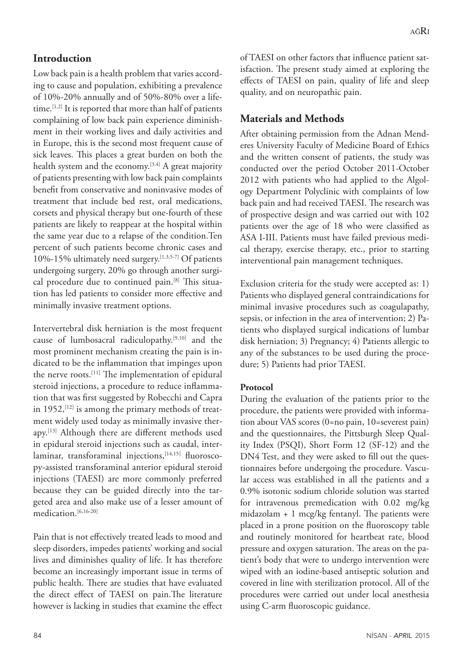# **Introduction**

Low back pain is a health problem that varies according to cause and population, exhibiting a prevalence of 10%-20% annually and of 50%-80% over a lifetime.[1,2] It is reported that more than half of patients complaining of low back pain experience diminishment in their working lives and daily activities and in Europe, this is the second most frequent cause of sick leaves. This places a great burden on both the health system and the economy.<sup>[3,4]</sup> A great majority of patients presenting with low back pain complaints benefit from conservative and noninvasive modes of treatment that include bed rest, oral medications, corsets and physical therapy but one-fourth of these patients are likely to reappear at the hospital within the same year due to a relapse of the condition.Ten percent of such patients become chronic cases and 10%-15% ultimately need surgery.[1,3,5-7] Of patients undergoing surgery, 20% go through another surgical procedure due to continued pain.<sup>[8]</sup> This situation has led patients to consider more effective and minimally invasive treatment options.

Intervertebral disk herniation is the most frequent cause of lumbosacral radiculopathy.[9,10] and the most prominent mechanism creating the pain is indicated to be the inflammation that impinges upon the nerve roots.<sup>[11]</sup> The implementation of epidural steroid injections, a procedure to reduce inflammation that was first suggested by Robecchi and Capra in  $1952$ ,  $[12]$  is among the primary methods of treatment widely used today as minimally invasive therapy.[13] Although there are different methods used in epidural steroid injections such as caudal, interlaminar, transforaminal injections, [14,15] fluoroscopy-assisted transforaminal anterior epidural steroid injections (TAESI) are more commonly preferred because they can be guided directly into the targeted area and also make use of a lesser amount of medication.<sup>[6,16-20]</sup>

Pain that is not effectively treated leads to mood and sleep disorders, impedes patients' working and social lives and diminishes quality of life. It has therefore become an increasingly important issue in terms of public health. There are studies that have evaluated the direct effect of TAESI on pain.The literature however is lacking in studies that examine the effect

of TAESI on other factors that influence patient satisfaction. The present study aimed at exploring the effects of TAESI on pain, quality of life and sleep quality, and on neuropathic pain.

# **Materials and Methods**

After obtaining permission from the Adnan Menderes University Faculty of Medicine Board of Ethics and the written consent of patients, the study was conducted over the period October 2011-October 2012 with patients who had applied to the Algology Department Polyclinic with complaints of low back pain and had received TAESI. The research was of prospective design and was carried out with 102 patients over the age of 18 who were classified as ASA I-III. Patients must have failed previous medical therapy, exercise therapy, etc., prior to starting interventional pain management techniques.

Exclusion criteria for the study were accepted as: 1) Patients who displayed general contraindications for minimal invasive procedures such as coagulapathy, sepsis, or infection in the area of intervention; 2) Patients who displayed surgical indications of lumbar disk herniation; 3) Pregnancy; 4) Patients allergic to any of the substances to be used during the procedure; 5) Patients had prior TAESI.

# **Protocol**

During the evaluation of the patients prior to the procedure, the patients were provided with information about VAS scores (0=no pain, 10=severest pain) and the questionnaires, the Pittsburgh Sleep Quality Index (PSQI), Short Form 12 (SF-12) and the DN4 Test, and they were asked to fill out the questionnaires before undergoing the procedure. Vascular access was established in all the patients and a 0.9% isotonic sodium chloride solution was started for intravenous premedication with 0.02 mg/kg midazolam + 1 mcg/kg fentanyl. The patients were placed in a prone position on the fluoroscopy table and routinely monitored for heartbeat rate, blood pressure and oxygen saturation. The areas on the patient's body that were to undergo intervention were wiped with an iodine-based antiseptic solution and covered in line with sterilization protocol. All of the procedures were carried out under local anesthesia using C-arm fluoroscopic guidance.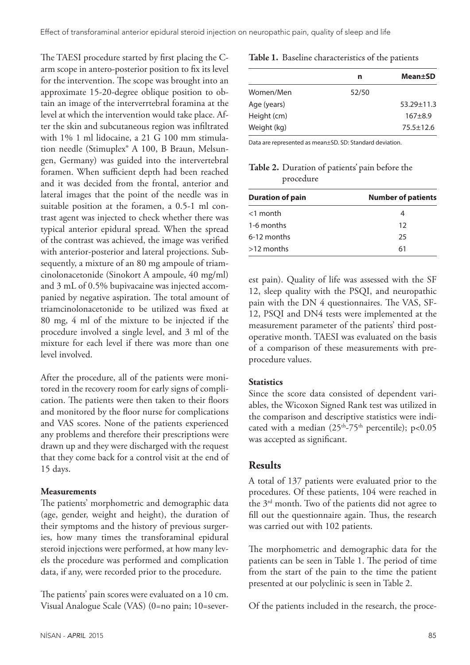The TAESI procedure started by first placing the Carm scope in antero-posterior position to fix its level for the intervention. The scope was brought into an approximate 15-20-degree oblique position to obtain an image of the interverrtebral foramina at the level at which the intervention would take place. After the skin and subcutaneous region was infiltrated with 1% 1 ml lidocaine, a 21 G 100 mm stimulation needle (Stimuplex® A 100, B Braun, Melsungen, Germany) was guided into the intervertebral foramen. When sufficient depth had been reached and it was decided from the frontal, anterior and lateral images that the point of the needle was in suitable position at the foramen, a 0.5-1 ml contrast agent was injected to check whether there was typical anterior epidural spread. When the spread of the contrast was achieved, the image was verified with anterior-posterior and lateral projections. Subsequently, a mixture of an 80 mg ampoule of triamcinolonacetonide (Sinokort A ampoule, 40 mg/ml) and 3 mL of 0.5% bupivacaine was injected accompanied by negative aspiration. The total amount of triamcinolonacetonide to be utilized was fixed at 80 mg, 4 ml of the mixture to be injected if the procedure involved a single level, and 3 ml of the mixture for each level if there was more than one level involved.

After the procedure, all of the patients were monitored in the recovery room for early signs of complication. The patients were then taken to their floors and monitored by the floor nurse for complications and VAS scores. None of the patients experienced any problems and therefore their prescriptions were drawn up and they were discharged with the request that they come back for a control visit at the end of 15 days.

#### **Measurements**

The patients' morphometric and demographic data (age, gender, weight and height), the duration of their symptoms and the history of previous surgeries, how many times the transforaminal epidural steroid injections were performed, at how many levels the procedure was performed and complication data, if any, were recorded prior to the procedure.

The patients' pain scores were evaluated on a 10 cm. Visual Analogue Scale (VAS) (0=no pain; 10=sever-

#### **Table 1.** Baseline characteristics of the patients

| n     | Mean±SD        |
|-------|----------------|
| 52/50 |                |
|       | $53.29 + 11.3$ |
|       | $167 + 8.9$    |
|       | $75.5 + 12.6$  |
|       |                |

Data are represented as mean±SD. SD: Standard deviation.

**Table 2.** Duration of patients' pain before the procedure

| <b>Duration of pain</b> | <b>Number of patients</b> |
|-------------------------|---------------------------|
| $<$ 1 month             | 4                         |
| 1-6 months              | 12                        |
| 6-12 months             | 25                        |
| $>12$ months            | 61                        |
|                         |                           |

est pain). Quality of life was assessed with the SF 12, sleep quality with the PSQI, and neuropathic pain with the DN 4 questionnaires. The VAS, SF-12, PSQI and DN4 tests were implemented at the measurement parameter of the patients' third postoperative month. TAESI was evaluated on the basis of a comparison of these measurements with preprocedure values.

#### **Statistics**

Since the score data consisted of dependent variables, the Wicoxon Signed Rank test was utilized in the comparison and descriptive statistics were indicated with a median  $(25<sup>th</sup>-75<sup>th</sup>$  percentile); p<0.05 was accepted as significant.

# **Results**

A total of 137 patients were evaluated prior to the procedures. Of these patients, 104 were reached in the  $3<sup>rd</sup>$  month. Two of the patients did not agree to fill out the questionnaire again. Thus, the research was carried out with 102 patients.

The morphometric and demographic data for the patients can be seen in Table 1. The period of time from the start of the pain to the time the patient presented at our polyclinic is seen in Table 2.

Of the patients included in the research, the proce-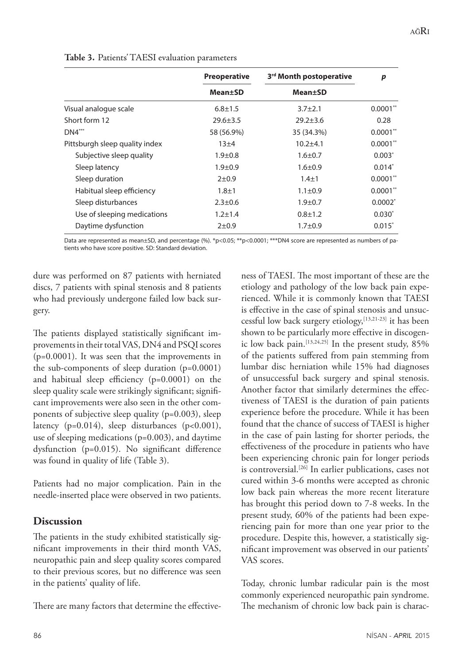|                                | <b>Preoperative</b><br><b>Mean±SD</b> | 3rd Month postoperative | p          |
|--------------------------------|---------------------------------------|-------------------------|------------|
|                                |                                       | <b>Mean</b> ±SD         |            |
| Visual analogue scale          | $6.8 \pm 1.5$                         | $3.7 + 2.1$             | $0.0001**$ |
| Short form 12                  | $29.6 \pm 3.5$                        | $29.2 \pm 3.6$          | 0.28       |
| $DN4***$                       | 58 (56.9%)                            | 35 (34.3%)              | $0.0001**$ |
| Pittsburgh sleep quality index | $13\pm4$                              | $10.2 + 4.1$            | $0.0001**$ |
| Subjective sleep quality       | $1.9 + 0.8$                           | $1.6 \pm 0.7$           | $0.003*$   |
| Sleep latency                  | $1.9 + 0.9$                           | $1.6 \pm 0.9$           | $0.014*$   |
| Sleep duration                 | $2 + 0.9$                             | $1.4 + 1$               | $0.0001**$ |
| Habitual sleep efficiency      | $1.8 + 1$                             | $1.1 \pm 0.9$           | $0.0001**$ |
| Sleep disturbances             | $2.3 \pm 0.6$                         | $1.9 + 0.7$             | $0.0002^*$ |
| Use of sleeping medications    | $1.2 \pm 1.4$                         | $0.8 \pm 1.2$           | $0.030*$   |
| Daytime dysfunction            | $2 + 0.9$                             | $1.7 + 0.9$             | $0.015*$   |

**Table 3.** Patients' TAESI evaluation parameters

Data are represented as mean±SD, and percentage (%). \*p<0.05; \*\*p<0.0001; \*\*\*DN4 score are represented as numbers of patients who have score positive. SD: Standard deviation.

dure was performed on 87 patients with herniated discs, 7 patients with spinal stenosis and 8 patients who had previously undergone failed low back surgery.

The patients displayed statistically significant improvements in their total VAS, DN4 and PSQI scores (p=0.0001). It was seen that the improvements in the sub-components of sleep duration (p=0.0001) and habitual sleep efficiency (p=0.0001) on the sleep quality scale were strikingly significant; significant improvements were also seen in the other components of subjective sleep quality (p=0.003), sleep latency ( $p=0.014$ ), sleep disturbances ( $p<0.001$ ), use of sleeping medications (p=0.003), and daytime dysfunction (p=0.015). No significant difference was found in quality of life (Table 3).

Patients had no major complication. Pain in the needle-inserted place were observed in two patients.

# **Discussion**

The patients in the study exhibited statistically significant improvements in their third month VAS, neuropathic pain and sleep quality scores compared to their previous scores, but no difference was seen in the patients' quality of life.

There are many factors that determine the effective-

ness of TAESI. The most important of these are the etiology and pathology of the low back pain experienced. While it is commonly known that TAESI is effective in the case of spinal stenosis and unsuccessful low back surgery etiology,<sup>[13,21-23]</sup> it has been shown to be particularly more effective in discogenic low back pain.[13,24,25] In the present study, 85% of the patients suffered from pain stemming from lumbar disc herniation while 15% had diagnoses of unsuccessful back surgery and spinal stenosis. Another factor that similarly determines the effectiveness of TAESI is the duration of pain patients experience before the procedure. While it has been found that the chance of success of TAESI is higher in the case of pain lasting for shorter periods, the effectiveness of the procedure in patients who have been experiencing chronic pain for longer periods is controversial.<sup>[26]</sup> In earlier publications, cases not cured within 3-6 months were accepted as chronic low back pain whereas the more recent literature has brought this period down to 7-8 weeks. In the present study, 60% of the patients had been experiencing pain for more than one year prior to the procedure. Despite this, however, a statistically significant improvement was observed in our patients' VAS scores.

Today, chronic lumbar radicular pain is the most commonly experienced neuropathic pain syndrome. The mechanism of chronic low back pain is charac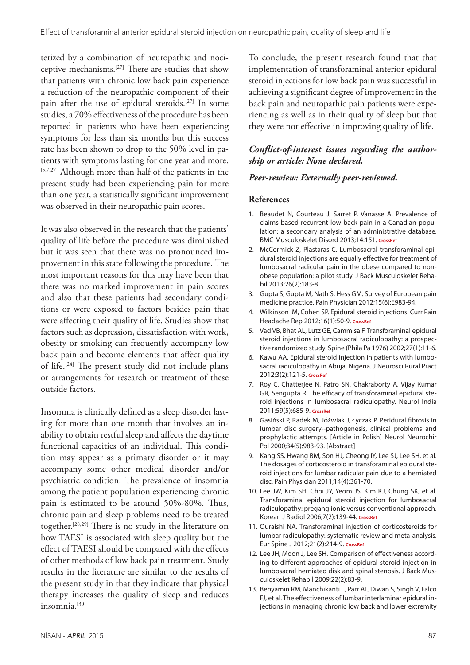terized by a combination of neuropathic and nociceptive mechanisms.[27] There are studies that show that patients with chronic low back pain experience a reduction of the neuropathic component of their pain after the use of epidural steroids.[27] In some studies, a 70% effectiveness of the procedure has been reported in patients who have been experiencing symptoms for less than six months but this success rate has been shown to drop to the 50% level in patients with symptoms lasting for one year and more. [5,7,27] Although more than half of the patients in the present study had been experiencing pain for more than one year, a statistically significant improvement was observed in their neuropathic pain scores.

It was also observed in the research that the patients' quality of life before the procedure was diminished but it was seen that there was no pronounced improvement in this state following the procedure. The most important reasons for this may have been that there was no marked improvement in pain scores and also that these patients had secondary conditions or were exposed to factors besides pain that were affecting their quality of life. Studies show that factors such as depression, dissatisfaction with work, obesity or smoking can frequently accompany low back pain and become elements that affect quality of life.[24] The present study did not include plans or arrangements for research or treatment of these outside factors.

Insomnia is clinically defined as a sleep disorder lasting for more than one month that involves an inability to obtain restful sleep and affects the daytime functional capacities of an individual. This condition may appear as a primary disorder or it may accompany some other medical disorder and/or psychiatric condition. The prevalence of insomnia among the patient population experiencing chronic pain is estimated to be around 50%-80%. Thus, chronic pain and sleep problems need to be treated together.[28,29] There is no study in the literature on how TAESI is associated with sleep quality but the effect of TAESI should be compared with the effects of other methods of low back pain treatment. Study results in the literature are similar to the results of the present study in that they indicate that physical therapy increases the quality of sleep and reduces insomnia.[30]

To conclude, the present research found that that implementation of transforaminal anterior epidural steroid injections for low back pain was successful in achieving a significant degree of improvement in the back pain and neuropathic pain patients were experiencing as well as in their quality of sleep but that they were not effective in improving quality of life.

### *Conflict-of-interest issues regarding the authorship or article: None declared.*

### *Peer-rewiew: Externally peer-reviewed.*

#### **References**

- 1. Beaudet N, Courteau J, Sarret P, Vanasse A. Prevalence of claims-based recurrent low back pain in a Canadian population: a secondary analysis of an administrative database. BMC Musculoskelet Disord 2013;14:151. **[CrossRef](http://dx.doi.org/10.1186/1471-2474-14-151)**
- 2. McCormick Z, Plastaras C. Lumbosacral transforaminal epidural steroid injections are equally effective for treatment of lumbosacral radicular pain in the obese compared to nonobese population: a pilot study. J Back Musculoskelet Rehabil 2013;26(2):183-8.
- 3. Gupta S, Gupta M, Nath S, Hess GM. Survey of European pain medicine practice. Pain Physician 2012;15(6):E983-94.
- 4. Wilkinson IM, Cohen SP. Epidural steroid injections. Curr Pain Headache Rep 2012;16(1):50-9. **[CrossRef](http://dx.doi.org/10.1007/s11916-011-0236-9)**
- 5. Vad VB, Bhat AL, Lutz GE, Cammisa F. Transforaminal epidural steroid injections in lumbosacral radiculopathy: a prospective randomized study. [Spine \(Phila Pa 1976\) 2002;27\(1\):11-6.](http://dx.doi.org/10.1097/00007632-200201010-00005)
- 6. Kawu AA. Epidural steroid injection in patients with lumbosacral radiculopathy in Abuja, Nigeria. J Neurosci Rural Pract 2012;3(2):121-5. **[CrossRef](http://dx.doi.org/10.4103/0976-3147.98206)**
- 7. Roy C, Chatterjee N, Patro SN, Chakraborty A, Vijay Kumar GR, Sengupta R. The efficacy of transforaminal epidural steroid injections in lumbosacral radiculopathy. Neurol India 2011;59(5):685-9. **[CrossRef](http://dx.doi.org/10.4103/0028-3886.86541)**
- 8. Gasiński P, Radek M, Jóźwiak J, Łyczak P. Peridural fibrosis in lumbar disc surgery--pathogenesis, clinical problems and prophylactic attempts. [Article in Polish] Neurol Neurochir Pol 2000;34(5):983-93. [Abstract]
- 9. Kang SS, Hwang BM, Son HJ, Cheong IY, Lee SJ, Lee SH, et al. The dosages of corticosteroid in transforaminal epidural steroid injections for lumbar radicular pain due to a herniated disc. Pain Physician 2011;14(4):361-70.
- 10. Lee JW, Kim SH, Choi JY, Yeom JS, Kim KJ, Chung SK, et al. Transforaminal epidural steroid injection for lumbosacral radiculopathy: preganglionic versus conventional approach. Korean J Radiol 2006;7(2):139-44. **[CrossRef](http://dx.doi.org/10.3348/kjr.2006.7.2.139)**
- 11. Quraishi NA. Transforaminal injection of corticosteroids for lumbar radiculopathy: systematic review and meta-analysis. Eur Spine J 2012;21(2):214-9. **[CrossRef](http://dx.doi.org/10.1007/s00586-011-2008-y)**
- 12. Lee JH, Moon J, Lee SH. Comparison of effectiveness according to different approaches of epidural steroid injection in lumbosacral herniated disk and spinal stenosis. J Back Musculoskelet Rehabil 2009;22(2):83-9.
- 13. Benyamin RM, Manchikanti L, Parr AT, Diwan S, Singh V, Falco FJ, et al. The effectiveness of lumbar interlaminar epidural injections in managing chronic low back and lower extremity